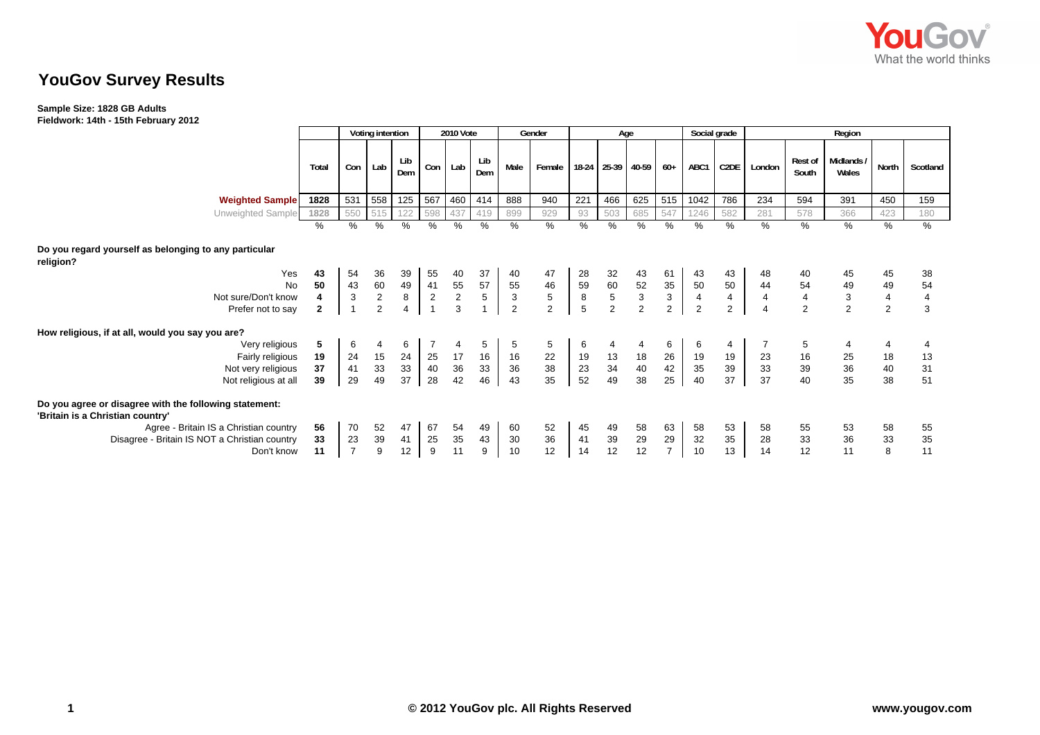

# **YouGov Survey Results**

### **Sample Size: 1828 GB Adults Fieldwork: 14th - 15th February 2012**

|                                                                                                                                                                                                     |                               |                                          | Voting intention                                  |                              | <b>2010 Vote</b>                           |                           |                            | Gender                                     |                                          | Age                                                            |                       |                                                   |                                            | Social grade                                 |                                 | Region                                       |                                        |                                                         |                                         |                                 |
|-----------------------------------------------------------------------------------------------------------------------------------------------------------------------------------------------------|-------------------------------|------------------------------------------|---------------------------------------------------|------------------------------|--------------------------------------------|---------------------------|----------------------------|--------------------------------------------|------------------------------------------|----------------------------------------------------------------|-----------------------|---------------------------------------------------|--------------------------------------------|----------------------------------------------|---------------------------------|----------------------------------------------|----------------------------------------|---------------------------------------------------------|-----------------------------------------|---------------------------------|
|                                                                                                                                                                                                     | Total                         | Con                                      | Lab                                               | Lib<br>Dem                   | Con <sub>1</sub>                           | Lab                       | Lib<br>Dem                 | Male                                       | Female                                   |                                                                | 18-24 25-39 40-59     |                                                   | $60+$                                      | ABC1                                         | C2DE                            | London                                       | Rest of<br>South                       | Midlands<br>Wales                                       | North                                   | Scotland                        |
| <b>Weighted Sample</b>                                                                                                                                                                              | 1828                          | 531                                      | 558                                               | 125                          | 567                                        | 460                       | 414                        | 888                                        | 940                                      | 221                                                            | 466                   | 625                                               | 515                                        | 1042                                         | 786                             | 234                                          | 594                                    | 391                                                     | 450                                     | 159                             |
| Unweighted Sample                                                                                                                                                                                   | 1828                          | 550                                      | 515                                               | 122                          | 598                                        | 437                       | 419                        | 899                                        | 929                                      | 93                                                             | 503                   | 685                                               | 547                                        | 1246                                         | 582                             | 281                                          | 578                                    | 366                                                     | 423                                     | 180                             |
|                                                                                                                                                                                                     | %                             | $\%$                                     | %                                                 | $\sqrt{2}$                   | %                                          | %                         | %                          | $\frac{9}{6}$                              | %                                        | %                                                              | $\frac{9}{6}$         | $\%$                                              | $\overline{\%}$                            | %                                            | $\overline{\%}$                 | $\frac{0}{6}$                                | %                                      | $\frac{9}{6}$                                           | $\frac{0}{0}$                           | %                               |
| Do you regard yourself as belonging to any particular<br>religion?<br>Yes<br><b>No</b><br>Not sure/Don't know<br>Prefer not to say                                                                  | 43<br>50<br>4<br>$\mathbf{2}$ | 54<br>43<br>$\mathbf{3}$<br>$\mathbf{1}$ | 36<br>$\begin{array}{c} 60 \\ 2 \\ 2 \end{array}$ | 39<br>49<br>$\bf 8$          | 55<br>41<br>$\overline{c}$<br>$\mathbf{1}$ | 40<br>$\frac{55}{2}$<br>3 | 37<br>57<br>$\overline{5}$ | 40<br>55<br>$\mathbf{3}$<br>$\overline{2}$ | 47<br>46<br>$\sqrt{5}$<br>$\overline{2}$ | 28<br>$\begin{array}{c} 59 \\ 8 \end{array}$<br>$\overline{5}$ | 32<br>60<br>5<br>2    | 43<br>$\begin{array}{c} 52 \\ 3 \\ 2 \end{array}$ | 61<br>35<br>$\mathbf{3}$<br>$\overline{2}$ | 43<br>50<br>$\overline{4}$<br>$\overline{2}$ | 43<br>50<br>$\overline{4}$<br>2 | 48<br>44<br>$\overline{4}$<br>$\overline{4}$ | 40<br>$\frac{54}{4}$<br>$\overline{2}$ | 45<br>49<br>$\ensuremath{\mathsf{3}}$<br>$\overline{2}$ | 45<br>49<br>$\pmb{4}$<br>$\overline{2}$ | 38<br>54<br>$\overline{4}$<br>3 |
| How religious, if at all, would you say you are?                                                                                                                                                    |                               |                                          |                                                   |                              |                                            |                           |                            |                                            |                                          |                                                                |                       |                                                   |                                            |                                              |                                 |                                              |                                        |                                                         |                                         |                                 |
| Very religious<br>Fairly religious<br>Not very religious<br>Not religious at all                                                                                                                    | 5<br>19<br>37<br>39           | 6<br>24<br>41<br>29                      | 4<br>15<br>33<br>49                               | 6<br>24<br>33<br>37          | 7<br>25<br>40<br>28                        | 17<br>36<br>42            | 5<br>16<br>33<br>46        | 5<br>16<br>36<br>43                        | 5<br>22<br>38<br>35                      | 6<br>19<br>$\begin{array}{c} 23 \\ 52 \end{array}$             | $\frac{13}{34}$<br>49 | 18<br>$40\,$<br>38                                | 6<br>26<br>42<br>25                        | 6<br>19<br>35<br>40                          | 4<br>19<br>39<br>37             | 23<br>33<br>37                               | 5<br>16<br>39<br>40                    | 25<br>36<br>35                                          | 4<br>18<br>40<br>38                     | 13<br>31<br>51                  |
| Do you agree or disagree with the following statement:<br>'Britain is a Christian country'<br>Agree - Britain IS a Christian country<br>Disagree - Britain IS NOT a Christian country<br>Don't know | 56<br>33<br>11                | 70<br>23<br>$\overline{7}$               | 52<br>39<br>9                                     | 47<br>41<br>12 <sup>12</sup> | 67<br>25<br>9                              | 54<br>35<br>11            | 49<br>43<br>9              | 60<br>30<br>10                             | 52<br>36<br>12                           | 45<br>41<br>14                                                 | 49<br>$39\,$<br>12    | 58<br>29<br>12                                    | 63<br>29<br>$\overline{7}$                 | 58<br>32<br>10                               | 53<br>35<br>13                  | 58<br>28<br>14                               | 55<br>33<br>12                         | 53<br>36<br>11                                          | 58<br>33<br>8                           | 55<br>35<br>11                  |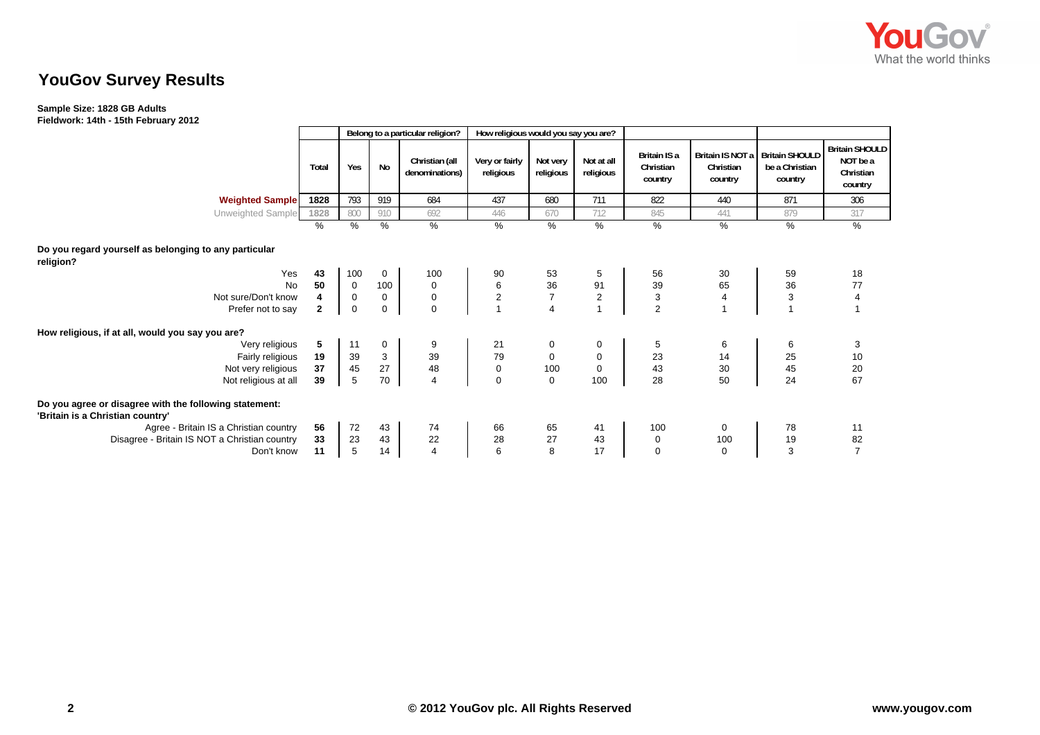

# **YouGov Survey Results**

### **Sample Size: 1828 GB Adults Fieldwork: 14th - 15th February 2012**

|                                                                                            |              |              |                 | Belong to a particular religion? | How religious would you say you are? |                         |                         |                                      |                                          |                                                    |                                                           |
|--------------------------------------------------------------------------------------------|--------------|--------------|-----------------|----------------------------------|--------------------------------------|-------------------------|-------------------------|--------------------------------------|------------------------------------------|----------------------------------------------------|-----------------------------------------------------------|
|                                                                                            | Total        | Yes          | <b>No</b>       | Christian (all<br>denominations) | Very or fairly<br>religious          | Not very<br>religious   | Not at all<br>religious | Britain IS a<br>Christian<br>country | Britain IS NOT a<br>Christian<br>country | <b>Britain SHOULD</b><br>be a Christian<br>country | <b>Britain SHOULD</b><br>NOT be a<br>Christian<br>country |
| <b>Weighted Sample</b>                                                                     | 1828         | 793          | 919             | 684                              | 437                                  | 680                     | 711                     | 822                                  | 440                                      | 871                                                | 306                                                       |
| Unweighted Sample                                                                          | 1828         | 800          | 910             | 692                              | 446                                  | 670                     | 712                     | 845                                  | 441                                      | 879                                                | 317                                                       |
|                                                                                            | %            | %            | $\overline{\%}$ | %                                | $\%$                                 | $\overline{\%}$         | $\overline{\%}$         | %                                    | $\%$                                     | %                                                  | $\frac{9}{6}$                                             |
| Do you regard yourself as belonging to any particular<br>religion?                         |              |              |                 |                                  |                                      |                         |                         |                                      |                                          |                                                    |                                                           |
| Yes                                                                                        | 43           | 100          | 0               | 100                              | 90                                   | 53                      | 5                       | 56                                   | 30                                       | 59                                                 | 18                                                        |
| <b>No</b>                                                                                  | 50           | $\mathbf{0}$ | 100             | $\mathbf 0$                      | 6                                    | 36                      | 91                      | 39                                   | 65                                       | 36                                                 | 77                                                        |
| Not sure/Don't know                                                                        | 4            | $\mathbf 0$  | $\mathbf 0$     | $\mathbf 0$                      | $\overline{c}$                       | $\overline{7}$          | $\mathbf 2$             | 3                                    | 4                                        | $\ensuremath{\mathsf{3}}$                          | $\overline{4}$                                            |
| Prefer not to say                                                                          | $\mathbf{2}$ | $\mathbf 0$  | 0               | $\Omega$                         | $\mathbf{1}$                         | $\overline{\mathbf{4}}$ | $\overline{1}$          | $\overline{2}$                       |                                          | $\overline{1}$                                     |                                                           |
| How religious, if at all, would you say you are?                                           |              |              |                 |                                  |                                      |                         |                         |                                      |                                          |                                                    |                                                           |
| Very religious                                                                             | 5            | 11           | $\mathbf 0$     | 9                                | 21                                   | 0                       | 0                       | 5                                    | 6                                        | 6                                                  | 3                                                         |
| Fairly religious                                                                           | 19           | 39           | 3               | 39                               | 79                                   | $\mathbf 0$             | $\mathbf 0$             | 23                                   | 14                                       | 25                                                 | 10                                                        |
| Not very religious                                                                         | 37           | 45           | 27              | 48                               | 0                                    | 100                     | $\mathbf 0$             | 43                                   | 30                                       | 45                                                 | 20<br>67                                                  |
| Not religious at all                                                                       | 39           | 5            | 70              | $\overline{4}$                   | $\mathbf 0$                          | $\mathbf 0$             | 100                     | 28                                   | 50                                       | 24                                                 |                                                           |
| Do you agree or disagree with the following statement:<br>'Britain is a Christian country' |              |              |                 |                                  |                                      |                         |                         |                                      |                                          |                                                    |                                                           |
| Agree - Britain IS a Christian country                                                     | 56           | 72           | 43              | 74                               | 66                                   | 65                      | 41                      | 100                                  | 0                                        | 78                                                 | 11                                                        |
| Disagree - Britain IS NOT a Christian country                                              | 33           | 23           | 43              | 22                               | 28                                   | 27                      | 43                      | 0                                    | 100                                      | 19                                                 | 82                                                        |
| Don't know                                                                                 | 11           | 5            | 14              | 4                                | 6                                    | 8                       | 17                      | $\mathbf 0$                          | $\mathbf 0$                              | 3                                                  | $\overline{7}$                                            |
|                                                                                            |              |              |                 |                                  |                                      |                         |                         |                                      |                                          |                                                    |                                                           |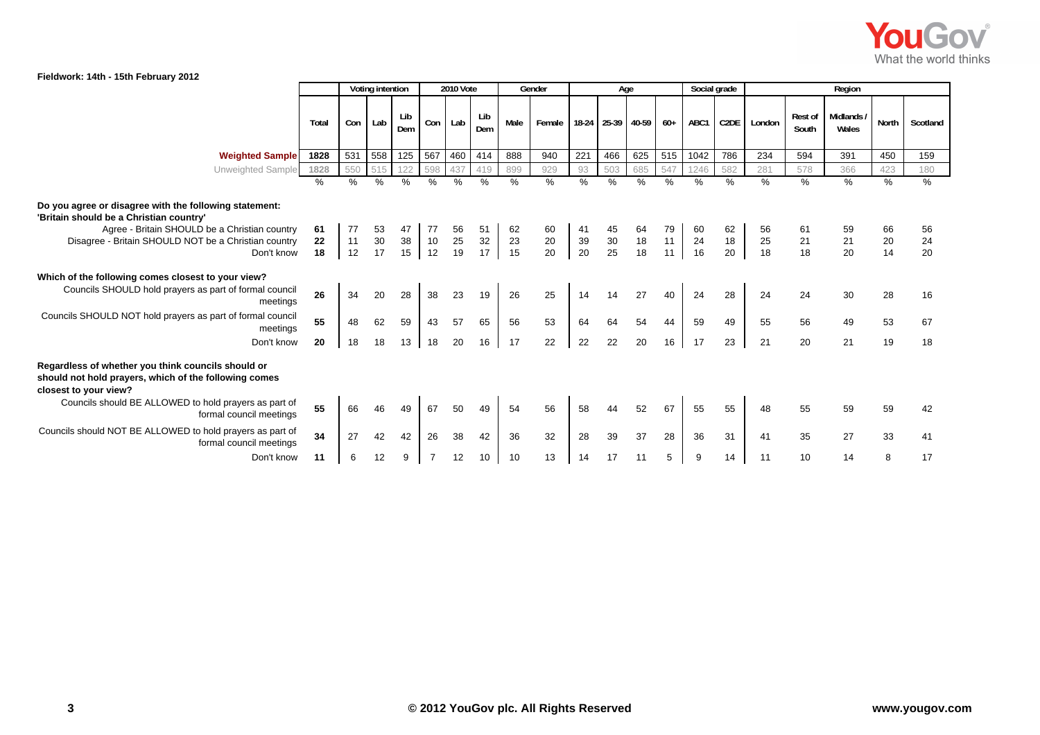

## **Fieldwork: 14th - 15th February 2012**

| $1.00$ and $1.001$ and $1.001$ and $1.001$ and $1.001$ and $1.001$ and $1.001$ and $1.001$ and $1.001$ and $1.001$ and $1.001$ and $1.001$ and $1.001$ and $1.001$ and $1.001$ and $1.001$ and $1.001$ and $1.001$ and $1.001$ |          | Voting intention |          |            |                 | 2010 Vote |            |          | Social grade<br>Gender<br>Age |          |                   |          |          | Region   |          |          |                         |                    |          |          |
|--------------------------------------------------------------------------------------------------------------------------------------------------------------------------------------------------------------------------------|----------|------------------|----------|------------|-----------------|-----------|------------|----------|-------------------------------|----------|-------------------|----------|----------|----------|----------|----------|-------------------------|--------------------|----------|----------|
|                                                                                                                                                                                                                                | Total    | Con              | Lab      | Lib<br>Dem | Con             | Lab       | Lib<br>Dem | Male     | Female                        |          | 18-24 25-39 40-59 |          | $60+$    | ABC1     | C2DE     | London   | <b>Rest of</b><br>South | Midlands/<br>Wales | North    | Scotland |
| <b>Weighted Sample</b>                                                                                                                                                                                                         | 1828     | 531              | 558      | 125        | 567             | 460       | 414        | 888      | 940                           | 221      | 466               | 625      | 515      | 1042     | 786      | 234      | 594                     | 391                | 450      | 159      |
| Unweighted Sample                                                                                                                                                                                                              | 1828     | 550              | 515      | 122        | 598             | 437       | 419        | 899      | 929                           | 93       | 503               | 685      | 547      | 1246     | 582      | 281      | 578                     | 366                | 423      | 180      |
|                                                                                                                                                                                                                                | %        | %                | $\%$     | $\%$       | $\overline{\%}$ | $\%$      | $\%$       | %        | $\frac{0}{6}$                 | %        | $\%$              | %        | $\%$     | %        | %        | $\%$     | $\%$                    | $\frac{9}{6}$      | $\%$     | %        |
| Do you agree or disagree with the following statement:<br>'Britain should be a Christian country'<br>Agree - Britain SHOULD be a Christian country                                                                             | 61       | 77               | 53       | 47         | 77              | 56        | 51         | 62       | 60                            | 41       | 45                | 64       | 79       | 60       | 62       | 56       |                         | 59                 | 66       | 56       |
| Disagree - Britain SHOULD NOT be a Christian country                                                                                                                                                                           | 22       | 11               | $30\,$   | 38         | 10              | 25        | $32\,$     | 23       | 20                            | 39       |                   | 18       | 11       | 24       | 18       | 25       | 21                      | 21                 | 20       | 24       |
| Don't know                                                                                                                                                                                                                     | 18       | 12               | 17       | 15         | 12              | 19        | 17         | 15       | 20                            | 20       | $\frac{30}{25}$   | 18       | 11       | 16       | 20       | 18       | 18                      | 20                 | 14       | 20       |
| Which of the following comes closest to your view?<br>Councils SHOULD hold prayers as part of formal council<br>meetings<br>Councils SHOULD NOT hold prayers as part of formal council<br>meetings                             | 26<br>55 | 34<br>48         | 20<br>62 | 28<br>59   | 38<br>43        | 23<br>57  | 19<br>65   | 26<br>56 | 25<br>53                      | 14<br>64 | 14<br>64          | 27<br>54 | 40<br>44 | 24<br>59 | 28<br>49 | 24<br>55 | 24<br>56                | 30<br>49           | 28<br>53 | 16<br>67 |
| Don't know                                                                                                                                                                                                                     | 20       | 18               | 18       | 13         | 18              | 20        | 16         | 17       | 22                            | 22       | 22                | 20       | 16       | 17       | 23       | 21       | 20                      | 21                 | 19       | 18       |
| Regardless of whether you think councils should or<br>should not hold prayers, which of the following comes<br>closest to your view?                                                                                           |          |                  |          |            |                 |           |            |          |                               |          |                   |          |          |          |          |          |                         |                    |          |          |
| Councils should BE ALLOWED to hold prayers as part of<br>formal council meetings                                                                                                                                               | 55       | 66               |          | 49         | 67              | 50        | 49         | 54       | 56                            | 58       | 44                | 52       | 67       | 55       | 55       | 48       | 55                      | 59                 | 59       | 42       |
| Councils should NOT BE ALLOWED to hold prayers as part of<br>formal council meetings                                                                                                                                           | 34       | 27               | 42       | 42         | 26              | 38        | 42         | 36       | 32                            | 28       | 39                | 37       | 28       | 36       | 31       | 41       | 35                      | 27                 | 33       | 41       |
| Don't know                                                                                                                                                                                                                     | 11       | 6                | 12       | 9          |                 | 12        | 10         | 10       | 13                            | 14       | 17                | 11       | 5        | 9        | 14       | 11       | 10                      | 14                 | 8        | 17       |